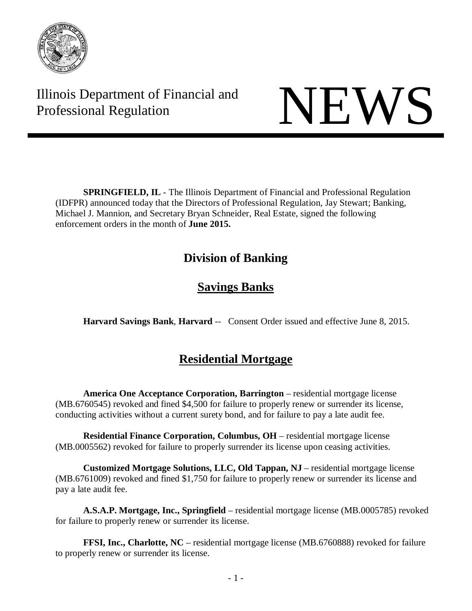

Illinois Department of Financial and Illinois Department of Financial and<br>Professional Regulation

**SPRINGFIELD, IL** - The Illinois Department of Financial and Professional Regulation (IDFPR) announced today that the Directors of Professional Regulation, Jay Stewart; Banking, Michael J. Mannion, and Secretary Bryan Schneider, Real Estate, signed the following enforcement orders in the month of **June 2015.**

# **Division of Banking**

# **Savings Banks**

**Harvard Savings Bank**, **Harvard** -- Consent Order issued and effective June 8, 2015.

# **Residential Mortgage**

**America One Acceptance Corporation, Barrington** – residential mortgage license (MB.6760545) revoked and fined \$4,500 for failure to properly renew or surrender its license, conducting activities without a current surety bond, and for failure to pay a late audit fee.

**Residential Finance Corporation, Columbus, OH** – residential mortgage license (MB.0005562) revoked for failure to properly surrender its license upon ceasing activities.

**Customized Mortgage Solutions, LLC, Old Tappan, NJ** – residential mortgage license (MB.6761009) revoked and fined \$1,750 for failure to properly renew or surrender its license and pay a late audit fee.

**A.S.A.P. Mortgage, Inc., Springfield** – residential mortgage license (MB.0005785) revoked for failure to properly renew or surrender its license.

**FFSI, Inc., Charlotte, NC** – residential mortgage license (MB.6760888) revoked for failure to properly renew or surrender its license.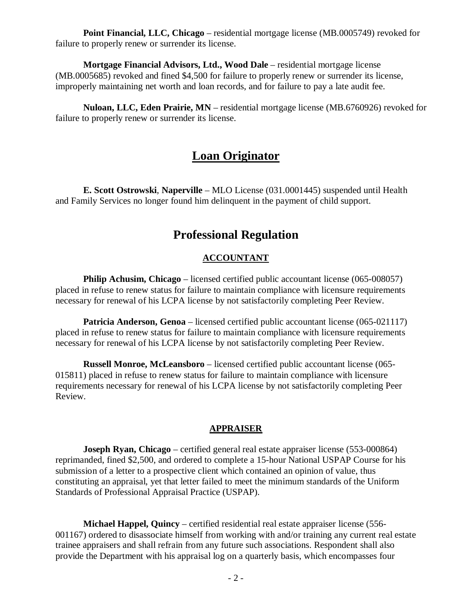**Point Financial, LLC, Chicago** – residential mortgage license (MB.0005749) revoked for failure to properly renew or surrender its license.

**Mortgage Financial Advisors, Ltd., Wood Dale** – residential mortgage license (MB.0005685) revoked and fined \$4,500 for failure to properly renew or surrender its license, improperly maintaining net worth and loan records, and for failure to pay a late audit fee.

**Nuloan, LLC, Eden Prairie, MN** – residential mortgage license (MB.6760926) revoked for failure to properly renew or surrender its license.

# **Loan Originator**

**E. Scott Ostrowski**, **Naperville** – MLO License (031.0001445) suspended until Health and Family Services no longer found him delinquent in the payment of child support.

# **Professional Regulation**

# **ACCOUNTANT**

**Philip Achusim, Chicago** – licensed certified public accountant license (065-008057) placed in refuse to renew status for failure to maintain compliance with licensure requirements necessary for renewal of his LCPA license by not satisfactorily completing Peer Review.

**Patricia Anderson, Genoa** – licensed certified public accountant license (065-021117) placed in refuse to renew status for failure to maintain compliance with licensure requirements necessary for renewal of his LCPA license by not satisfactorily completing Peer Review.

**Russell Monroe, McLeansboro** – licensed certified public accountant license (065- 015811) placed in refuse to renew status for failure to maintain compliance with licensure requirements necessary for renewal of his LCPA license by not satisfactorily completing Peer Review.

# **APPRAISER**

**Joseph Ryan, Chicago** – certified general real estate appraiser license (553-000864) reprimanded, fined \$2,500, and ordered to complete a 15-hour National USPAP Course for his submission of a letter to a prospective client which contained an opinion of value, thus constituting an appraisal, yet that letter failed to meet the minimum standards of the Uniform Standards of Professional Appraisal Practice (USPAP).

**Michael Happel, Quincy** – certified residential real estate appraiser license (556- 001167) ordered to disassociate himself from working with and/or training any current real estate trainee appraisers and shall refrain from any future such associations. Respondent shall also provide the Department with his appraisal log on a quarterly basis, which encompasses four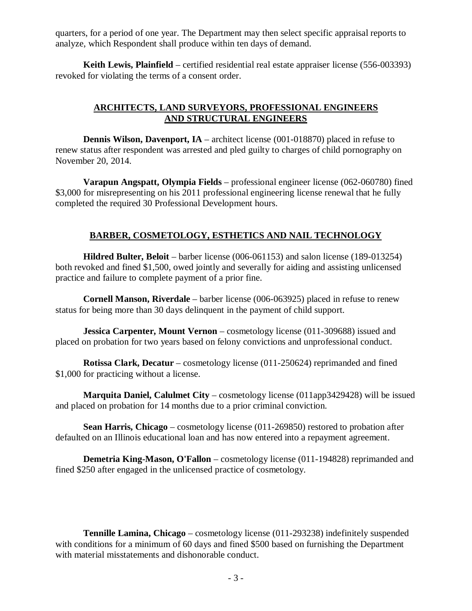quarters, for a period of one year. The Department may then select specific appraisal reports to analyze, which Respondent shall produce within ten days of demand.

**Keith Lewis, Plainfield** – certified residential real estate appraiser license (556-003393) revoked for violating the terms of a consent order.

# **ARCHITECTS, LAND SURVEYORS, PROFESSIONAL ENGINEERS AND STRUCTURAL ENGINEERS**

**Dennis Wilson, Davenport, IA** – architect license (001-018870) placed in refuse to renew status after respondent was arrested and pled guilty to charges of child pornography on November 20, 2014.

**Varapun Angspatt, Olympia Fields** – professional engineer license (062-060780) fined \$3,000 for misrepresenting on his 2011 professional engineering license renewal that he fully completed the required 30 Professional Development hours.

# **BARBER, COSMETOLOGY, ESTHETICS AND NAIL TECHNOLOGY**

**Hildred Bulter, Beloit** – barber license (006-061153) and salon license (189-013254) both revoked and fined \$1,500, owed jointly and severally for aiding and assisting unlicensed practice and failure to complete payment of a prior fine.

**Cornell Manson, Riverdale** – barber license (006-063925) placed in refuse to renew status for being more than 30 days delinquent in the payment of child support.

**Jessica Carpenter, Mount Vernon** – cosmetology license (011-309688) issued and placed on probation for two years based on felony convictions and unprofessional conduct.

**Rotissa Clark, Decatur** – cosmetology license (011-250624) reprimanded and fined \$1,000 for practicing without a license.

**Marquita Daniel, Calulmet City** – cosmetology license (011app3429428) will be issued and placed on probation for 14 months due to a prior criminal conviction.

**Sean Harris, Chicago** – cosmetology license (011-269850) restored to probation after defaulted on an Illinois educational loan and has now entered into a repayment agreement.

**Demetria King-Mason, O'Fallon** – cosmetology license (011-194828) reprimanded and fined \$250 after engaged in the unlicensed practice of cosmetology.

**Tennille Lamina, Chicago** – cosmetology license (011-293238) indefinitely suspended with conditions for a minimum of 60 days and fined \$500 based on furnishing the Department with material misstatements and dishonorable conduct.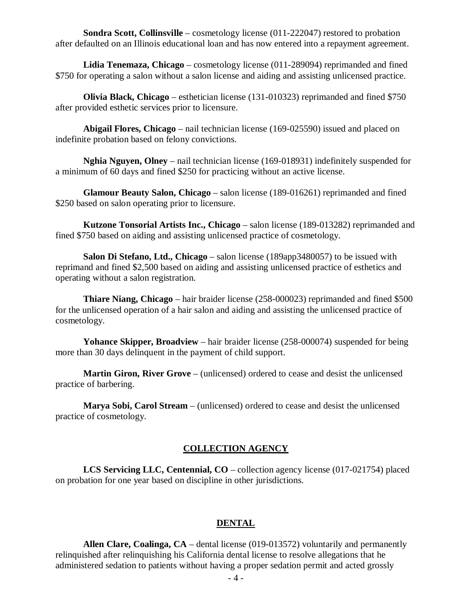**Sondra Scott, Collinsville** – cosmetology license (011-222047) restored to probation after defaulted on an Illinois educational loan and has now entered into a repayment agreement.

**Lidia Tenemaza, Chicago** – cosmetology license (011-289094) reprimanded and fined \$750 for operating a salon without a salon license and aiding and assisting unlicensed practice.

**Olivia Black, Chicago** – esthetician license (131-010323) reprimanded and fined \$750 after provided esthetic services prior to licensure.

**Abigail Flores, Chicago** – nail technician license (169-025590) issued and placed on indefinite probation based on felony convictions.

**Nghia Nguyen, Olney** – nail technician license (169-018931) indefinitely suspended for a minimum of 60 days and fined \$250 for practicing without an active license.

**Glamour Beauty Salon, Chicago** – salon license (189-016261) reprimanded and fined \$250 based on salon operating prior to licensure.

**Kutzone Tonsorial Artists Inc., Chicago** – salon license (189-013282) reprimanded and fined \$750 based on aiding and assisting unlicensed practice of cosmetology.

**Salon Di Stefano, Ltd., Chicago** – salon license (189app3480057) to be issued with reprimand and fined \$2,500 based on aiding and assisting unlicensed practice of esthetics and operating without a salon registration.

**Thiare Niang, Chicago** – hair braider license (258-000023) reprimanded and fined \$500 for the unlicensed operation of a hair salon and aiding and assisting the unlicensed practice of cosmetology.

**Yohance Skipper, Broadview** – hair braider license (258-000074) suspended for being more than 30 days delinquent in the payment of child support.

**Martin Giron, River Grove** – (unlicensed) ordered to cease and desist the unlicensed practice of barbering.

**Marya Sobi, Carol Stream** – (unlicensed) ordered to cease and desist the unlicensed practice of cosmetology.

# **COLLECTION AGENCY**

**LCS Servicing LLC, Centennial, CO** – collection agency license (017-021754) placed on probation for one year based on discipline in other jurisdictions.

# **DENTAL**

**Allen Clare, Coalinga, CA** – dental license (019-013572) voluntarily and permanently relinquished after relinquishing his California dental license to resolve allegations that he administered sedation to patients without having a proper sedation permit and acted grossly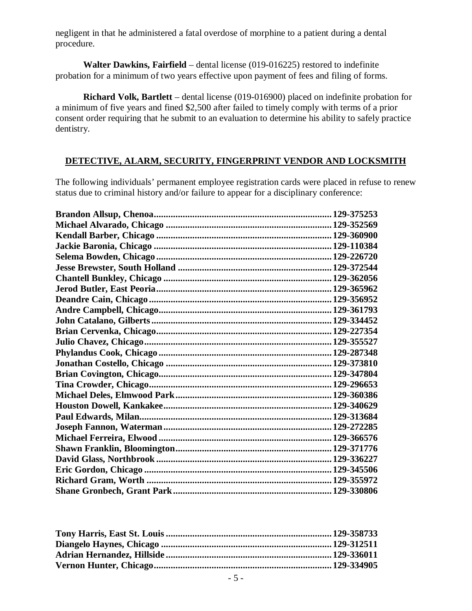negligent in that he administered a fatal overdose of morphine to a patient during a dental procedure.

**Walter Dawkins, Fairfield** – dental license (019-016225) restored to indefinite probation for a minimum of two years effective upon payment of fees and filing of forms.

**Richard Volk, Bartlett** – dental license (019-016900) placed on indefinite probation for a minimum of five years and fined \$2,500 after failed to timely comply with terms of a prior consent order requiring that he submit to an evaluation to determine his ability to safely practice dentistry.

# **DETECTIVE, ALARM, SECURITY, FINGERPRINT VENDOR AND LOCKSMITH**

The following individuals' permanent employee registration cards were placed in refuse to renew status due to criminal history and/or failure to appear for a disciplinary conference: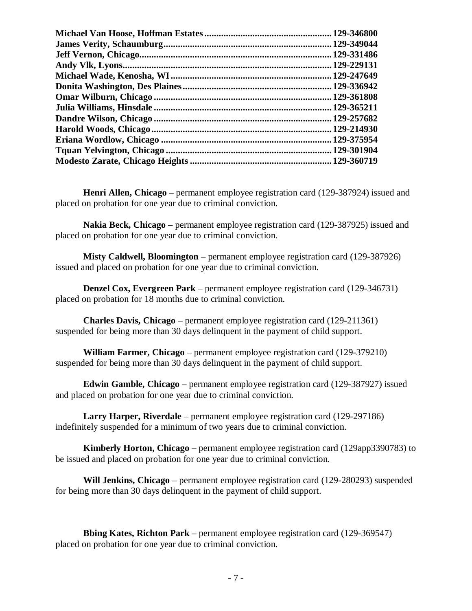| .129-346800  |
|--------------|
|              |
| . 129-331486 |
| .129-229131  |
| .129-247649  |
|              |
|              |
| .129-365211  |
| .129-257682  |
|              |
|              |
|              |
|              |

**Henri Allen, Chicago** – permanent employee registration card (129-387924) issued and placed on probation for one year due to criminal conviction.

**Nakia Beck, Chicago** – permanent employee registration card (129-387925) issued and placed on probation for one year due to criminal conviction.

**Misty Caldwell, Bloomington** – permanent employee registration card (129-387926) issued and placed on probation for one year due to criminal conviction.

**Denzel Cox, Evergreen Park** – permanent employee registration card (129-346731) placed on probation for 18 months due to criminal conviction.

**Charles Davis, Chicago** – permanent employee registration card (129-211361) suspended for being more than 30 days delinquent in the payment of child support.

**William Farmer, Chicago** – permanent employee registration card (129-379210) suspended for being more than 30 days delinquent in the payment of child support.

**Edwin Gamble, Chicago** – permanent employee registration card (129-387927) issued and placed on probation for one year due to criminal conviction.

**Larry Harper, Riverdale** – permanent employee registration card (129-297186) indefinitely suspended for a minimum of two years due to criminal conviction.

**Kimberly Horton, Chicago** – permanent employee registration card (129app3390783) to be issued and placed on probation for one year due to criminal conviction.

**Will Jenkins, Chicago** – permanent employee registration card (129-280293) suspended for being more than 30 days delinquent in the payment of child support.

**Bbing Kates, Richton Park** – permanent employee registration card (129-369547) placed on probation for one year due to criminal conviction.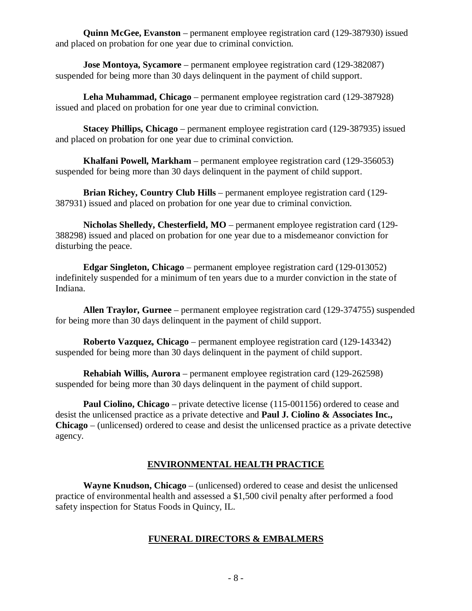**Quinn McGee, Evanston** – permanent employee registration card (129-387930) issued and placed on probation for one year due to criminal conviction.

**Jose Montoya, Sycamore** – permanent employee registration card (129-382087) suspended for being more than 30 days delinquent in the payment of child support.

**Leha Muhammad, Chicago** – permanent employee registration card (129-387928) issued and placed on probation for one year due to criminal conviction.

**Stacey Phillips, Chicago** – permanent employee registration card (129-387935) issued and placed on probation for one year due to criminal conviction.

**Khalfani Powell, Markham** – permanent employee registration card (129-356053) suspended for being more than 30 days delinquent in the payment of child support.

**Brian Richey, Country Club Hills** – permanent employee registration card (129- 387931) issued and placed on probation for one year due to criminal conviction.

**Nicholas Shelledy, Chesterfield, MO** – permanent employee registration card (129- 388298) issued and placed on probation for one year due to a misdemeanor conviction for disturbing the peace.

**Edgar Singleton, Chicago** – permanent employee registration card (129-013052) indefinitely suspended for a minimum of ten years due to a murder conviction in the state of Indiana.

**Allen Traylor, Gurnee** – permanent employee registration card (129-374755) suspended for being more than 30 days delinquent in the payment of child support.

**Roberto Vazquez, Chicago** – permanent employee registration card (129-143342) suspended for being more than 30 days delinquent in the payment of child support.

**Rehabiah Willis, Aurora** – permanent employee registration card (129-262598) suspended for being more than 30 days delinquent in the payment of child support.

**Paul Ciolino, Chicago** – private detective license (115-001156) ordered to cease and desist the unlicensed practice as a private detective and **Paul J. Ciolino & Associates Inc., Chicago** – (unlicensed) ordered to cease and desist the unlicensed practice as a private detective agency.

# **ENVIRONMENTAL HEALTH PRACTICE**

**Wayne Knudson, Chicago** – (unlicensed) ordered to cease and desist the unlicensed practice of environmental health and assessed a \$1,500 civil penalty after performed a food safety inspection for Status Foods in Quincy, IL.

# **FUNERAL DIRECTORS & EMBALMERS**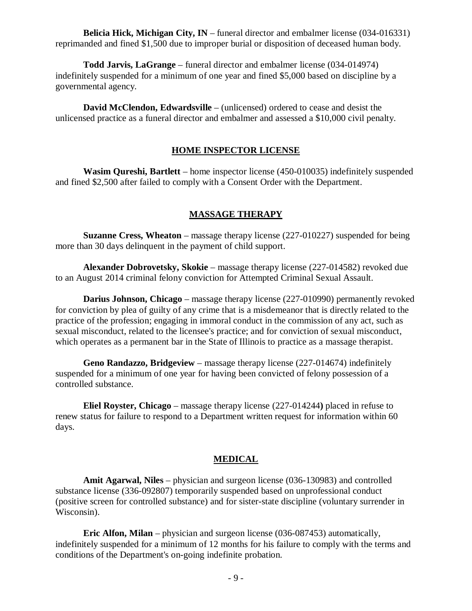**Belicia Hick, Michigan City, IN** – funeral director and embalmer license (034-016331) reprimanded and fined \$1,500 due to improper burial or disposition of deceased human body.

**Todd Jarvis, LaGrange** – funeral director and embalmer license (034-014974) indefinitely suspended for a minimum of one year and fined \$5,000 based on discipline by a governmental agency.

**David McClendon, Edwardsville** – (unlicensed) ordered to cease and desist the unlicensed practice as a funeral director and embalmer and assessed a \$10,000 civil penalty.

#### **HOME INSPECTOR LICENSE**

**Wasim Qureshi, Bartlett** – home inspector license (450-010035) indefinitely suspended and fined \$2,500 after failed to comply with a Consent Order with the Department.

### **MASSAGE THERAPY**

**Suzanne Cress, Wheaton** – massage therapy license (227-010227) suspended for being more than 30 days delinquent in the payment of child support.

**Alexander Dobrovetsky, Skokie** – massage therapy license (227-014582) revoked due to an August 2014 criminal felony conviction for Attempted Criminal Sexual Assault.

**Darius Johnson, Chicago** – massage therapy license (227-010990) permanently revoked for conviction by plea of guilty of any crime that is a misdemeanor that is directly related to the practice of the profession; engaging in immoral conduct in the commission of any act, such as sexual misconduct, related to the licensee's practice; and for conviction of sexual misconduct, which operates as a permanent bar in the State of Illinois to practice as a massage therapist.

**Geno Randazzo, Bridgeview** – massage therapy license (227-014674) indefinitely suspended for a minimum of one year for having been convicted of felony possession of a controlled substance.

**Eliel Royster, Chicago** – massage therapy license (227-014244**)** placed in refuse to renew status for failure to respond to a Department written request for information within 60 days.

#### **MEDICAL**

**Amit Agarwal, Niles** – physician and surgeon license (036-130983) and controlled substance license (336-092807) temporarily suspended based on unprofessional conduct (positive screen for controlled substance) and for sister-state discipline (voluntary surrender in Wisconsin).

**Eric Alfon, Milan** – physician and surgeon license (036-087453) automatically, indefinitely suspended for a minimum of 12 months for his failure to comply with the terms and conditions of the Department's on-going indefinite probation.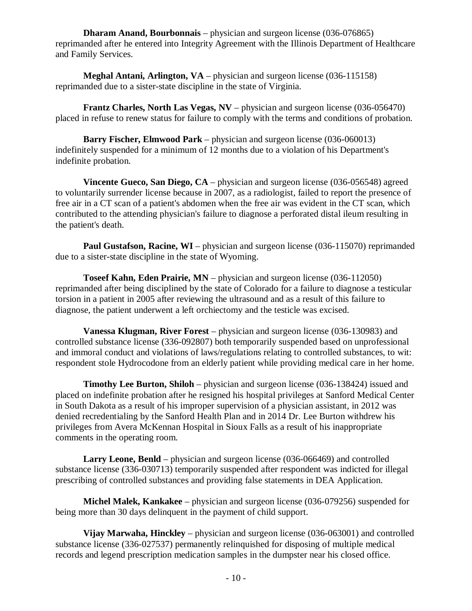**Dharam Anand, Bourbonnais** – physician and surgeon license (036-076865) reprimanded after he entered into Integrity Agreement with the Illinois Department of Healthcare and Family Services.

**Meghal Antani, Arlington, VA** – physician and surgeon license (036-115158) reprimanded due to a sister-state discipline in the state of Virginia.

**Frantz Charles, North Las Vegas, NV** – physician and surgeon license (036-056470) placed in refuse to renew status for failure to comply with the terms and conditions of probation.

**Barry Fischer, Elmwood Park** – physician and surgeon license (036-060013) indefinitely suspended for a minimum of 12 months due to a violation of his Department's indefinite probation.

**Vincente Gueco, San Diego, CA** – physician and surgeon license (036-056548) agreed to voluntarily surrender license because in 2007, as a radiologist, failed to report the presence of free air in a CT scan of a patient's abdomen when the free air was evident in the CT scan, which contributed to the attending physician's failure to diagnose a perforated distal ileum resulting in the patient's death.

**Paul Gustafson, Racine, WI** – physician and surgeon license (036-115070) reprimanded due to a sister-state discipline in the state of Wyoming.

**Toseef Kahn, Eden Prairie, MN** – physician and surgeon license (036-112050) reprimanded after being disciplined by the state of Colorado for a failure to diagnose a testicular torsion in a patient in 2005 after reviewing the ultrasound and as a result of this failure to diagnose, the patient underwent a left orchiectomy and the testicle was excised.

**Vanessa Klugman, River Forest** – physician and surgeon license (036-130983) and controlled substance license (336-092807) both temporarily suspended based on unprofessional and immoral conduct and violations of laws/regulations relating to controlled substances, to wit: respondent stole Hydrocodone from an elderly patient while providing medical care in her home.

**Timothy Lee Burton, Shiloh** – physician and surgeon license (036-138424) issued and placed on indefinite probation after he resigned his hospital privileges at Sanford Medical Center in South Dakota as a result of his improper supervision of a physician assistant, in 2012 was denied recredentialing by the Sanford Health Plan and in 2014 Dr. Lee Burton withdrew his privileges from Avera McKennan Hospital in Sioux Falls as a result of his inappropriate comments in the operating room.

**Larry Leone, Benld** – physician and surgeon license (036-066469) and controlled substance license (336-030713) temporarily suspended after respondent was indicted for illegal prescribing of controlled substances and providing false statements in DEA Application.

**Michel Malek, Kankakee** – physician and surgeon license (036-079256) suspended for being more than 30 days delinquent in the payment of child support.

**Vijay Marwaha, Hinckley** – physician and surgeon license (036-063001) and controlled substance license (336-027537) permanently relinquished for disposing of multiple medical records and legend prescription medication samples in the dumpster near his closed office.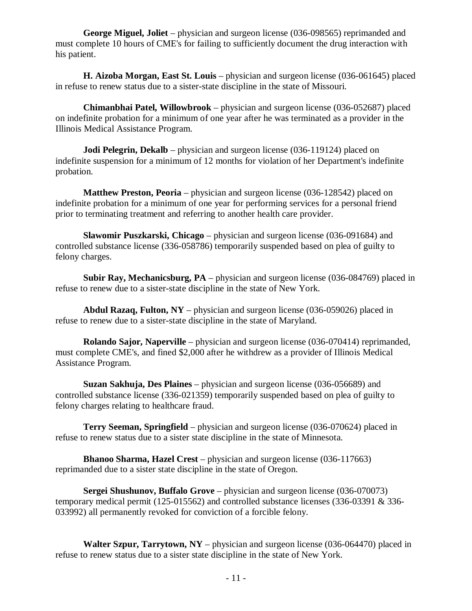**George Miguel, Joliet** – physician and surgeon license (036-098565) reprimanded and must complete 10 hours of CME's for failing to sufficiently document the drug interaction with his patient.

**H. Aizoba Morgan, East St. Louis** – physician and surgeon license (036-061645) placed in refuse to renew status due to a sister-state discipline in the state of Missouri.

**Chimanbhai Patel, Willowbrook** – physician and surgeon license (036-052687) placed on indefinite probation for a minimum of one year after he was terminated as a provider in the Illinois Medical Assistance Program.

**Jodi Pelegrin, Dekalb** – physician and surgeon license (036-119124) placed on indefinite suspension for a minimum of 12 months for violation of her Department's indefinite probation.

**Matthew Preston, Peoria** – physician and surgeon license (036-128542) placed on indefinite probation for a minimum of one year for performing services for a personal friend prior to terminating treatment and referring to another health care provider.

**Slawomir Puszkarski, Chicago** – physician and surgeon license (036-091684) and controlled substance license (336-058786) temporarily suspended based on plea of guilty to felony charges.

**Subir Ray, Mechanicsburg, PA** – physician and surgeon license (036-084769) placed in refuse to renew due to a sister-state discipline in the state of New York.

**Abdul Razaq, Fulton, NY** – physician and surgeon license (036-059026) placed in refuse to renew due to a sister-state discipline in the state of Maryland.

**Rolando Sajor, Naperville** – physician and surgeon license (036-070414) reprimanded, must complete CME's, and fined \$2,000 after he withdrew as a provider of Illinois Medical Assistance Program.

**Suzan Sakhuja, Des Plaines** – physician and surgeon license (036-056689) and controlled substance license (336-021359) temporarily suspended based on plea of guilty to felony charges relating to healthcare fraud.

**Terry Seeman, Springfield** – physician and surgeon license (036-070624) placed in refuse to renew status due to a sister state discipline in the state of Minnesota.

**Bhanoo Sharma, Hazel Crest** – physician and surgeon license (036-117663) reprimanded due to a sister state discipline in the state of Oregon.

**Sergei Shushunov, Buffalo Grove** – physician and surgeon license (036-070073) temporary medical permit (125-015562) and controlled substance licenses (336-03391 & 336- 033992) all permanently revoked for conviction of a forcible felony.

**Walter Szpur, Tarrytown, NY** – physician and surgeon license (036-064470) placed in refuse to renew status due to a sister state discipline in the state of New York.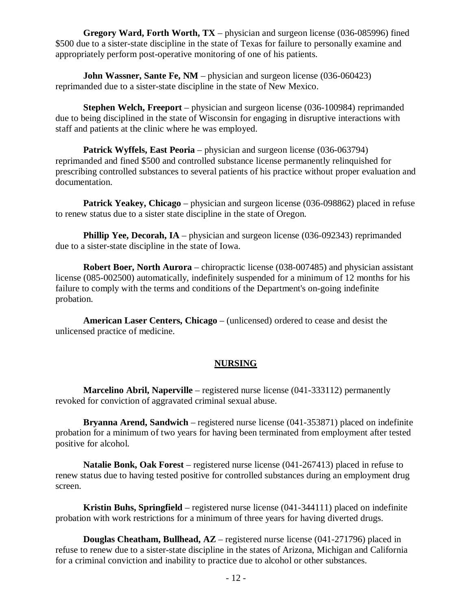**Gregory Ward, Forth Worth, TX** – physician and surgeon license (036-085996) fined \$500 due to a sister-state discipline in the state of Texas for failure to personally examine and appropriately perform post-operative monitoring of one of his patients.

**John Wassner, Sante Fe, NM** – physician and surgeon license (036-060423) reprimanded due to a sister-state discipline in the state of New Mexico.

**Stephen Welch, Freeport** – physician and surgeon license (036-100984) reprimanded due to being disciplined in the state of Wisconsin for engaging in disruptive interactions with staff and patients at the clinic where he was employed.

Patrick Wyffels, East Peoria – physician and surgeon license (036-063794) reprimanded and fined \$500 and controlled substance license permanently relinquished for prescribing controlled substances to several patients of his practice without proper evaluation and documentation.

**Patrick Yeakey, Chicago** – physician and surgeon license (036-098862) placed in refuse to renew status due to a sister state discipline in the state of Oregon.

**Phillip Yee, Decorah, IA** – physician and surgeon license (036-092343) reprimanded due to a sister-state discipline in the state of Iowa.

**Robert Boer, North Aurora** – chiropractic license (038-007485) and physician assistant license (085-002500) automatically, indefinitely suspended for a minimum of 12 months for his failure to comply with the terms and conditions of the Department's on-going indefinite probation.

**American Laser Centers, Chicago** – (unlicensed) ordered to cease and desist the unlicensed practice of medicine.

# **NURSING**

**Marcelino Abril, Naperville** – registered nurse license (041-333112) permanently revoked for conviction of aggravated criminal sexual abuse.

**Bryanna Arend, Sandwich** – registered nurse license (041-353871) placed on indefinite probation for a minimum of two years for having been terminated from employment after tested positive for alcohol.

**Natalie Bonk, Oak Forest** – registered nurse license (041-267413) placed in refuse to renew status due to having tested positive for controlled substances during an employment drug screen.

**Kristin Buhs, Springfield** – registered nurse license (041-344111) placed on indefinite probation with work restrictions for a minimum of three years for having diverted drugs.

**Douglas Cheatham, Bullhead, AZ** – registered nurse license (041-271796) placed in refuse to renew due to a sister-state discipline in the states of Arizona, Michigan and California for a criminal conviction and inability to practice due to alcohol or other substances.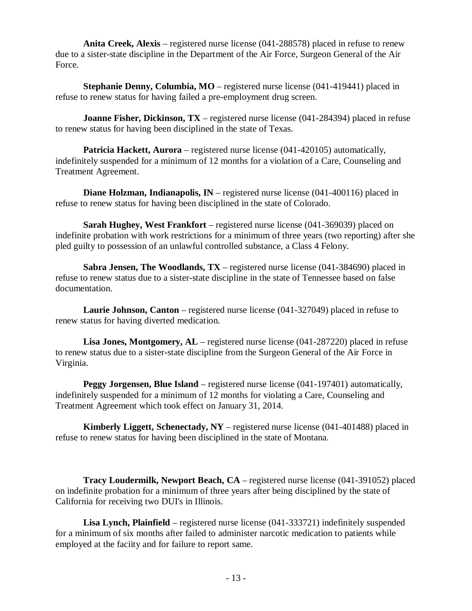**Anita Creek, Alexis** – registered nurse license (041-288578) placed in refuse to renew due to a sister-state discipline in the Department of the Air Force, Surgeon General of the Air Force.

**Stephanie Denny, Columbia, MO** – registered nurse license (041-419441) placed in refuse to renew status for having failed a pre-employment drug screen.

**Joanne Fisher, Dickinson, TX** – registered nurse license (041-284394) placed in refuse to renew status for having been disciplined in the state of Texas.

**Patricia Hackett, Aurora** – registered nurse license (041-420105) automatically, indefinitely suspended for a minimum of 12 months for a violation of a Care, Counseling and Treatment Agreement.

**Diane Holzman, Indianapolis, IN** – registered nurse license (041-400116) placed in refuse to renew status for having been disciplined in the state of Colorado.

**Sarah Hughey, West Frankfort** – registered nurse license (041-369039) placed on indefinite probation with work restrictions for a minimum of three years (two reporting) after she pled guilty to possession of an unlawful controlled substance, a Class 4 Felony.

**Sabra Jensen, The Woodlands, TX** – registered nurse license (041-384690) placed in refuse to renew status due to a sister-state discipline in the state of Tennessee based on false documentation.

**Laurie Johnson, Canton** – registered nurse license (041-327049) placed in refuse to renew status for having diverted medication.

**Lisa Jones, Montgomery, AL** – registered nurse license (041-287220) placed in refuse to renew status due to a sister-state discipline from the Surgeon General of the Air Force in Virginia.

**Peggy Jorgensen, Blue Island** – registered nurse license (041-197401) automatically, indefinitely suspended for a minimum of 12 months for violating a Care, Counseling and Treatment Agreement which took effect on January 31, 2014.

**Kimberly Liggett, Schenectady, NY** – registered nurse license (041-401488) placed in refuse to renew status for having been disciplined in the state of Montana.

**Tracy Loudermilk, Newport Beach, CA** – registered nurse license (041-391052) placed on indefinite probation for a minimum of three years after being disciplined by the state of California for receiving two DUI's in Illinois.

**Lisa Lynch, Plainfield** – registered nurse license (041-333721) indefinitely suspended for a minimum of six months after failed to administer narcotic medication to patients while employed at the faciity and for failure to report same.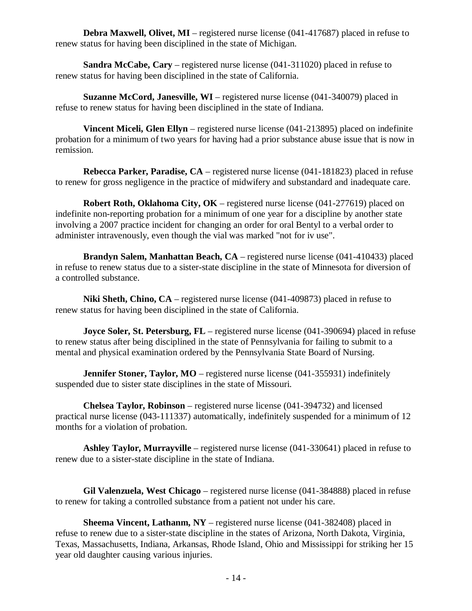**Debra Maxwell, Olivet, MI** – registered nurse license (041-417687) placed in refuse to renew status for having been disciplined in the state of Michigan.

**Sandra McCabe, Cary** – registered nurse license (041-311020) placed in refuse to renew status for having been disciplined in the state of California.

**Suzanne McCord, Janesville, WI** – registered nurse license (041-340079) placed in refuse to renew status for having been disciplined in the state of Indiana.

**Vincent Miceli, Glen Ellyn** – registered nurse license (041-213895) placed on indefinite probation for a minimum of two years for having had a prior substance abuse issue that is now in remission.

**Rebecca Parker, Paradise, CA** – registered nurse license (041-181823) placed in refuse to renew for gross negligence in the practice of midwifery and substandard and inadequate care.

**Robert Roth, Oklahoma City, OK** – registered nurse license (041-277619) placed on indefinite non-reporting probation for a minimum of one year for a discipline by another state involving a 2007 practice incident for changing an order for oral Bentyl to a verbal order to administer intravenously, even though the vial was marked "not for iv use".

**Brandyn Salem, Manhattan Beach, CA** – registered nurse license (041-410433) placed in refuse to renew status due to a sister-state discipline in the state of Minnesota for diversion of a controlled substance.

**Niki Sheth, Chino, CA** – registered nurse license (041-409873) placed in refuse to renew status for having been disciplined in the state of California.

**Joyce Soler, St. Petersburg, FL** – registered nurse license (041-390694) placed in refuse to renew status after being disciplined in the state of Pennsylvania for failing to submit to a mental and physical examination ordered by the Pennsylvania State Board of Nursing.

**Jennifer Stoner, Taylor, MO** – registered nurse license (041-355931) indefinitely suspended due to sister state disciplines in the state of Missouri.

**Chelsea Taylor, Robinson** – registered nurse license (041-394732) and licensed practical nurse license (043-111337) automatically, indefinitely suspended for a minimum of 12 months for a violation of probation.

**Ashley Taylor, Murrayville** – registered nurse license (041-330641) placed in refuse to renew due to a sister-state discipline in the state of Indiana.

**Gil Valenzuela, West Chicago** – registered nurse license (041-384888) placed in refuse to renew for taking a controlled substance from a patient not under his care.

**Sheema Vincent, Lathanm, NY** – registered nurse license (041-382408) placed in refuse to renew due to a sister-state discipline in the states of Arizona, North Dakota, Virginia, Texas, Massachusetts, Indiana, Arkansas, Rhode Island, Ohio and Mississippi for striking her 15 year old daughter causing various injuries.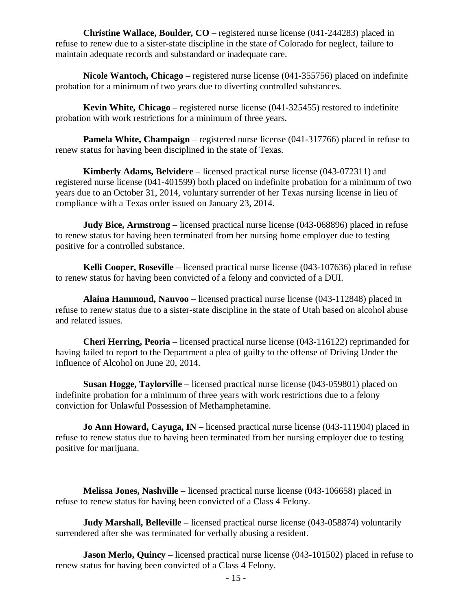**Christine Wallace, Boulder, CO** – registered nurse license (041-244283) placed in refuse to renew due to a sister-state discipline in the state of Colorado for neglect, failure to maintain adequate records and substandard or inadequate care.

**Nicole Wantoch, Chicago** – registered nurse license (041-355756) placed on indefinite probation for a minimum of two years due to diverting controlled substances.

**Kevin White, Chicago** – registered nurse license (041-325455) restored to indefinite probation with work restrictions for a minimum of three years.

**Pamela White, Champaign** – registered nurse license (041-317766) placed in refuse to renew status for having been disciplined in the state of Texas.

**Kimberly Adams, Belvidere** – licensed practical nurse license (043-072311) and registered nurse license (041-401599) both placed on indefinite probation for a minimum of two years due to an October 31, 2014, voluntary surrender of her Texas nursing license in lieu of compliance with a Texas order issued on January 23, 2014.

**Judy Bice, Armstrong** – licensed practical nurse license (043-068896) placed in refuse to renew status for having been terminated from her nursing home employer due to testing positive for a controlled substance.

**Kelli Cooper, Roseville** – licensed practical nurse license (043-107636) placed in refuse to renew status for having been convicted of a felony and convicted of a DUI.

**Alaina Hammond, Nauvoo** – licensed practical nurse license (043-112848) placed in refuse to renew status due to a sister-state discipline in the state of Utah based on alcohol abuse and related issues.

**Cheri Herring, Peoria** – licensed practical nurse license (043-116122) reprimanded for having failed to report to the Department a plea of guilty to the offense of Driving Under the Influence of Alcohol on June 20, 2014.

**Susan Hogge, Taylorville** – licensed practical nurse license (043-059801) placed on indefinite probation for a minimum of three years with work restrictions due to a felony conviction for Unlawful Possession of Methamphetamine.

**Jo Ann Howard, Cayuga, IN** – licensed practical nurse license (043-111904) placed in refuse to renew status due to having been terminated from her nursing employer due to testing positive for marijuana.

**Melissa Jones, Nashville** – licensed practical nurse license (043-106658) placed in refuse to renew status for having been convicted of a Class 4 Felony.

**Judy Marshall, Belleville** – licensed practical nurse license (043-058874) voluntarily surrendered after she was terminated for verbally abusing a resident.

**Jason Merlo, Quincy** – licensed practical nurse license (043-101502) placed in refuse to renew status for having been convicted of a Class 4 Felony.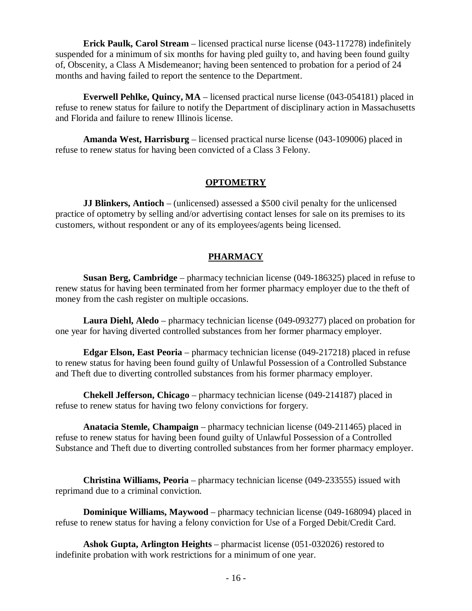**Erick Paulk, Carol Stream** – licensed practical nurse license (043-117278) indefinitely suspended for a minimum of six months for having pled guilty to, and having been found guilty of, Obscenity, a Class A Misdemeanor; having been sentenced to probation for a period of 24 months and having failed to report the sentence to the Department.

**Everwell Pehlke, Quincy, MA** – licensed practical nurse license (043-054181) placed in refuse to renew status for failure to notify the Department of disciplinary action in Massachusetts and Florida and failure to renew Illinois license.

**Amanda West, Harrisburg** – licensed practical nurse license (043-109006) placed in refuse to renew status for having been convicted of a Class 3 Felony.

#### **OPTOMETRY**

**JJ Blinkers, Antioch** – (unlicensed) assessed a \$500 civil penalty for the unlicensed practice of optometry by selling and/or advertising contact lenses for sale on its premises to its customers, without respondent or any of its employees/agents being licensed.

### **PHARMACY**

**Susan Berg, Cambridge** – pharmacy technician license (049-186325) placed in refuse to renew status for having been terminated from her former pharmacy employer due to the theft of money from the cash register on multiple occasions.

**Laura Diehl, Aledo** – pharmacy technician license (049-093277) placed on probation for one year for having diverted controlled substances from her former pharmacy employer.

**Edgar Elson, East Peoria** – pharmacy technician license (049-217218) placed in refuse to renew status for having been found guilty of Unlawful Possession of a Controlled Substance and Theft due to diverting controlled substances from his former pharmacy employer.

**Chekell Jefferson, Chicago** – pharmacy technician license (049-214187) placed in refuse to renew status for having two felony convictions for forgery.

**Anatacia Stemle, Champaign** – pharmacy technician license (049-211465) placed in refuse to renew status for having been found guilty of Unlawful Possession of a Controlled Substance and Theft due to diverting controlled substances from her former pharmacy employer.

**Christina Williams, Peoria** – pharmacy technician license (049-233555) issued with reprimand due to a criminal conviction.

**Dominique Williams, Maywood** – pharmacy technician license (049-168094) placed in refuse to renew status for having a felony conviction for Use of a Forged Debit/Credit Card.

**Ashok Gupta, Arlington Heights** – pharmacist license (051-032026) restored to indefinite probation with work restrictions for a minimum of one year.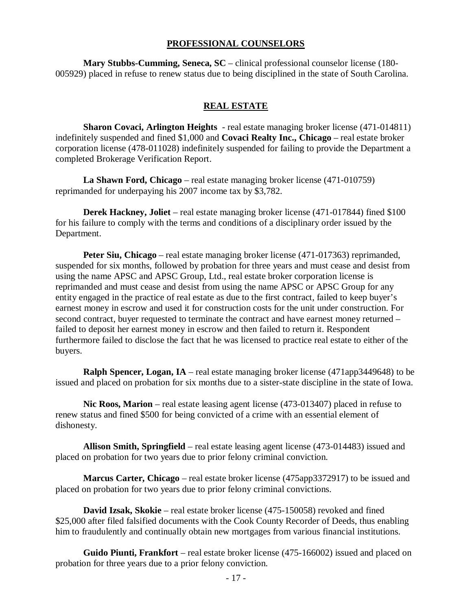#### **PROFESSIONAL COUNSELORS**

**Mary Stubbs-Cumming, Seneca, SC** – clinical professional counselor license (180- 005929) placed in refuse to renew status due to being disciplined in the state of South Carolina.

#### **REAL ESTATE**

**Sharon Covaci, Arlington Heights** - real estate managing broker license (471-014811) indefinitely suspended and fined \$1,000 and **Covaci Realty Inc., Chicago** – real estate broker corporation license (478-011028) indefinitely suspended for failing to provide the Department a completed Brokerage Verification Report.

**La Shawn Ford, Chicago** – real estate managing broker license (471-010759) reprimanded for underpaying his 2007 income tax by \$3,782.

**Derek Hackney, Joliet** – real estate managing broker license (471-017844) fined \$100 for his failure to comply with the terms and conditions of a disciplinary order issued by the Department.

**Peter Siu, Chicago** – real estate managing broker license (471-017363) reprimanded, suspended for six months, followed by probation for three years and must cease and desist from using the name APSC and APSC Group, Ltd., real estate broker corporation license is reprimanded and must cease and desist from using the name APSC or APSC Group for any entity engaged in the practice of real estate as due to the first contract, failed to keep buyer's earnest money in escrow and used it for construction costs for the unit under construction. For second contract, buyer requested to terminate the contract and have earnest money returned – failed to deposit her earnest money in escrow and then failed to return it. Respondent furthermore failed to disclose the fact that he was licensed to practice real estate to either of the buyers.

**Ralph Spencer, Logan, IA** – real estate managing broker license (471app3449648) to be issued and placed on probation for six months due to a sister-state discipline in the state of Iowa.

**Nic Roos, Marion** – real estate leasing agent license (473-013407) placed in refuse to renew status and fined \$500 for being convicted of a crime with an essential element of dishonesty.

**Allison Smith, Springfield** – real estate leasing agent license (473-014483) issued and placed on probation for two years due to prior felony criminal conviction.

**Marcus Carter, Chicago** – real estate broker license (475app3372917) to be issued and placed on probation for two years due to prior felony criminal convictions.

**David Izsak, Skokie** – real estate broker license (475-150058) revoked and fined \$25,000 after filed falsified documents with the Cook County Recorder of Deeds, thus enabling him to fraudulently and continually obtain new mortgages from various financial institutions.

**Guido Piunti, Frankfort** – real estate broker license (475-166002) issued and placed on probation for three years due to a prior felony conviction.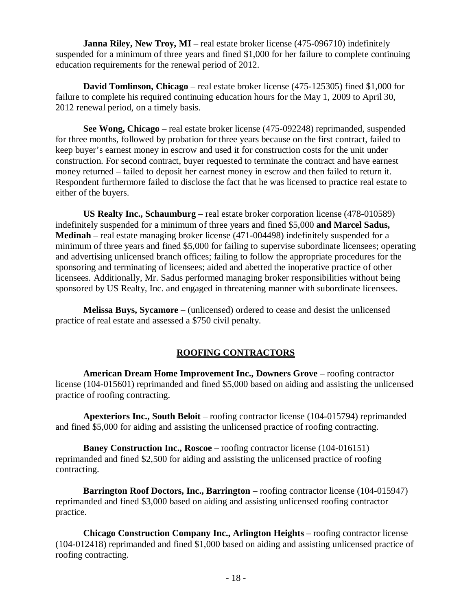**Janna Riley, New Troy, MI** – real estate broker license (475-096710) indefinitely suspended for a minimum of three years and fined \$1,000 for her failure to complete continuing education requirements for the renewal period of 2012.

**David Tomlinson, Chicago** – real estate broker license (475-125305) fined \$1,000 for failure to complete his required continuing education hours for the May 1, 2009 to April 30, 2012 renewal period, on a timely basis.

**See Wong, Chicago** – real estate broker license (475-092248) reprimanded, suspended for three months, followed by probation for three years because on the first contract, failed to keep buyer's earnest money in escrow and used it for construction costs for the unit under construction. For second contract, buyer requested to terminate the contract and have earnest money returned – failed to deposit her earnest money in escrow and then failed to return it. Respondent furthermore failed to disclose the fact that he was licensed to practice real estate to either of the buyers.

**US Realty Inc., Schaumburg** – real estate broker corporation license (478-010589) indefinitely suspended for a minimum of three years and fined \$5,000 **and Marcel Sadus, Medinah** – real estate managing broker license (471-004498) indefinitely suspended for a minimum of three years and fined \$5,000 for failing to supervise subordinate licensees; operating and advertising unlicensed branch offices; failing to follow the appropriate procedures for the sponsoring and terminating of licensees; aided and abetted the inoperative practice of other licensees. Additionally, Mr. Sadus performed managing broker responsibilities without being sponsored by US Realty, Inc. and engaged in threatening manner with subordinate licensees.

**Melissa Buys, Sycamore** – (unlicensed) ordered to cease and desist the unlicensed practice of real estate and assessed a \$750 civil penalty.

# **ROOFING CONTRACTORS**

**American Dream Home Improvement Inc., Downers Grove** – roofing contractor license (104-015601) reprimanded and fined \$5,000 based on aiding and assisting the unlicensed practice of roofing contracting.

**Apexteriors Inc., South Beloit** – roofing contractor license (104-015794) reprimanded and fined \$5,000 for aiding and assisting the unlicensed practice of roofing contracting.

**Baney Construction Inc., Roscoe** – roofing contractor license (104-016151) reprimanded and fined \$2,500 for aiding and assisting the unlicensed practice of roofing contracting.

**Barrington Roof Doctors, Inc., Barrington** – roofing contractor license (104-015947) reprimanded and fined \$3,000 based on aiding and assisting unlicensed roofing contractor practice.

**Chicago Construction Company Inc., Arlington Heights** – roofing contractor license (104-012418) reprimanded and fined \$1,000 based on aiding and assisting unlicensed practice of roofing contracting.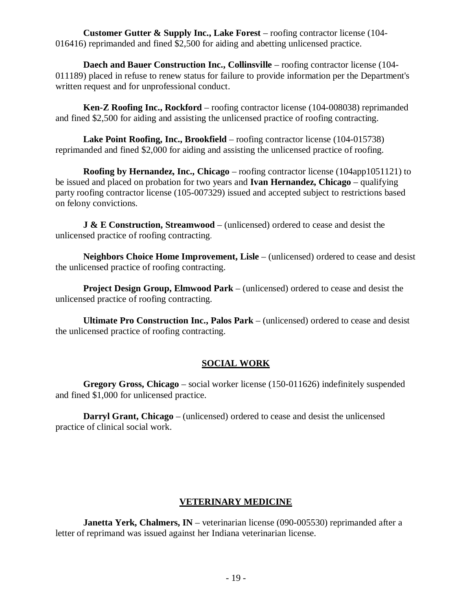**Customer Gutter & Supply Inc., Lake Forest** – roofing contractor license (104- 016416) reprimanded and fined \$2,500 for aiding and abetting unlicensed practice.

**Daech and Bauer Construction Inc., Collinsville** – roofing contractor license (104-011189) placed in refuse to renew status for failure to provide information per the Department's written request and for unprofessional conduct.

**Ken-Z Roofing Inc., Rockford** – roofing contractor license (104-008038) reprimanded and fined \$2,500 for aiding and assisting the unlicensed practice of roofing contracting.

**Lake Point Roofing, Inc., Brookfield** – roofing contractor license (104-015738) reprimanded and fined \$2,000 for aiding and assisting the unlicensed practice of roofing.

**Roofing by Hernandez, Inc., Chicago** – roofing contractor license (104app1051121) to be issued and placed on probation for two years and **Ivan Hernandez, Chicago** – qualifying party roofing contractor license (105-007329) issued and accepted subject to restrictions based on felony convictions.

**J & E Construction, Streamwood** – (unlicensed) ordered to cease and desist the unlicensed practice of roofing contracting.

**Neighbors Choice Home Improvement, Lisle** – (unlicensed) ordered to cease and desist the unlicensed practice of roofing contracting.

**Project Design Group, Elmwood Park** – (unlicensed) ordered to cease and desist the unlicensed practice of roofing contracting.

**Ultimate Pro Construction Inc., Palos Park** – (unlicensed) ordered to cease and desist the unlicensed practice of roofing contracting.

# **SOCIAL WORK**

**Gregory Gross, Chicago** – social worker license (150-011626) indefinitely suspended and fined \$1,000 for unlicensed practice.

**Darryl Grant, Chicago** – (unlicensed) ordered to cease and desist the unlicensed practice of clinical social work.

# **VETERINARY MEDICINE**

**Janetta Yerk, Chalmers, IN** – veterinarian license (090-005530) reprimanded after a letter of reprimand was issued against her Indiana veterinarian license.